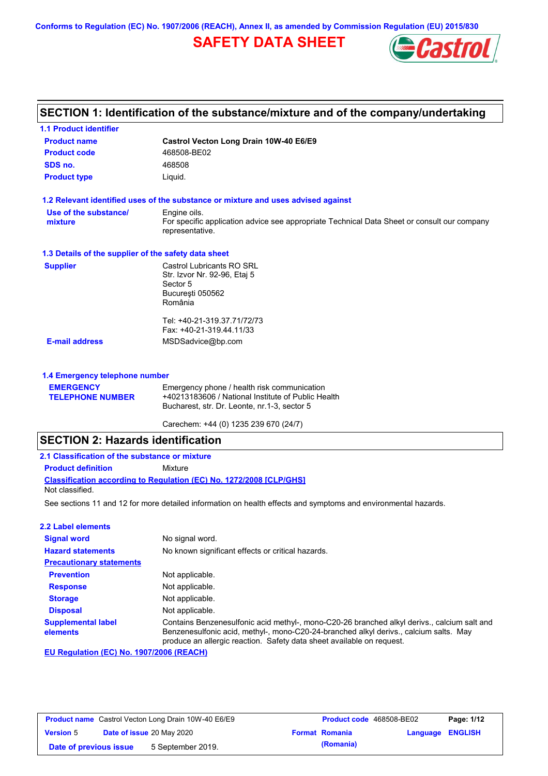**Conforms to Regulation (EC) No. 1907/2006 (REACH), Annex II, as amended by Commission Regulation (EU) 2015/830**

# **SAFETY DATA SHEET**



## **SECTION 1: Identification of the substance/mixture and of the company/undertaking**

| <b>1.1 Product identifier</b>                        |                                                                                                                                                   |
|------------------------------------------------------|---------------------------------------------------------------------------------------------------------------------------------------------------|
| <b>Product name</b>                                  | Castrol Vecton Long Drain 10W-40 E6/E9                                                                                                            |
| <b>Product code</b>                                  | 468508-BE02                                                                                                                                       |
| SDS no.                                              | 468508                                                                                                                                            |
| <b>Product type</b>                                  | Liquid.                                                                                                                                           |
|                                                      | 1.2 Relevant identified uses of the substance or mixture and uses advised against                                                                 |
| Use of the substance/<br>mixture                     | Engine oils.<br>For specific application advice see appropriate Technical Data Sheet or consult our company<br>representative.                    |
| 1.3 Details of the supplier of the safety data sheet |                                                                                                                                                   |
| <b>Supplier</b>                                      | Castrol Lubricants RO SRL<br>Str. Izvor Nr. 92-96, Etaj 5<br>Sector 5<br>București 050562<br>România                                              |
|                                                      | Tel: +40-21-319.37.71/72/73<br>Fax: +40-21-319.44.11/33                                                                                           |
| <b>E-mail address</b>                                | MSDSadvice@bp.com                                                                                                                                 |
| 1.4 Emergency telephone number                       |                                                                                                                                                   |
| <b>EMERGENCY</b><br><b>TELEPHONE NUMBER</b>          | Emergency phone / health risk communication<br>+40213183606 / National Institute of Public Health<br>Bucharest, str. Dr. Leonte, nr.1-3, sector 5 |

Carechem: +44 (0) 1235 239 670 (24/7)

# **SECTION 2: Hazards identification**

| 2.1 Classification of the substance or mixture |                                                                            |  |  |  |
|------------------------------------------------|----------------------------------------------------------------------------|--|--|--|
| <b>Product definition</b>                      | Mixture                                                                    |  |  |  |
|                                                | <b>Classification according to Regulation (EC) No. 1272/2008 [CLP/GHS]</b> |  |  |  |
| Not classified.                                |                                                                            |  |  |  |

See sections 11 and 12 for more detailed information on health effects and symptoms and environmental hazards.

### **2.2 Label elements**

| <b>Signal word</b>                    | No signal word.                                                                                                                                                                                                                                               |  |  |  |
|---------------------------------------|---------------------------------------------------------------------------------------------------------------------------------------------------------------------------------------------------------------------------------------------------------------|--|--|--|
| <b>Hazard statements</b>              | No known significant effects or critical hazards.                                                                                                                                                                                                             |  |  |  |
| <b>Precautionary statements</b>       |                                                                                                                                                                                                                                                               |  |  |  |
| <b>Prevention</b>                     | Not applicable.                                                                                                                                                                                                                                               |  |  |  |
| <b>Response</b>                       | Not applicable.                                                                                                                                                                                                                                               |  |  |  |
| <b>Storage</b>                        | Not applicable.                                                                                                                                                                                                                                               |  |  |  |
| <b>Disposal</b>                       | Not applicable.                                                                                                                                                                                                                                               |  |  |  |
| <b>Supplemental label</b><br>elements | Contains Benzenesulfonic acid methyl-, mono-C20-26 branched alkyl derivs., calcium salt and<br>Benzenesulfonic acid, methyl-, mono-C20-24-branched alkyl derivs., calcium salts. May<br>produce an allergic reaction. Safety data sheet available on request. |  |  |  |

**EU Regulation (EC) No. 1907/2006 (REACH)**

| <b>Product name</b> Castrol Vecton Long Drain 10W-40 E6/E9 |  | Product code 468508-BE02  |  | Page: 1/12            |                         |  |
|------------------------------------------------------------|--|---------------------------|--|-----------------------|-------------------------|--|
| <b>Version 5</b>                                           |  | Date of issue 20 May 2020 |  | <b>Format Romania</b> | <b>Language ENGLISH</b> |  |
| Date of previous issue                                     |  | 5 September 2019.         |  | (Romania)             |                         |  |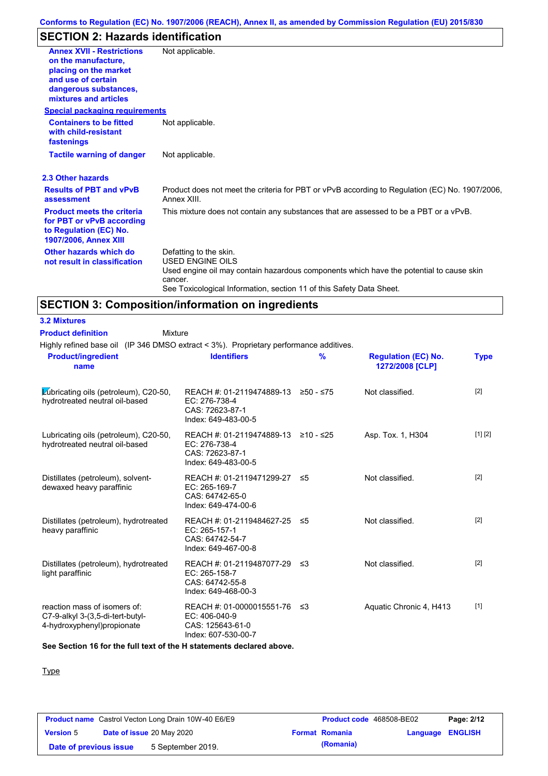# **SECTION 2: Hazards identification**

| <b>Annex XVII - Restrictions</b><br>on the manufacture.<br>placing on the market<br>and use of certain<br>dangerous substances,<br>mixtures and articles<br><b>Special packaging requirements</b> | Not applicable.                                                                                                                                                                                                                 |
|---------------------------------------------------------------------------------------------------------------------------------------------------------------------------------------------------|---------------------------------------------------------------------------------------------------------------------------------------------------------------------------------------------------------------------------------|
| <b>Containers to be fitted</b><br>with child-resistant<br>fastenings                                                                                                                              | Not applicable.                                                                                                                                                                                                                 |
| <b>Tactile warning of danger</b>                                                                                                                                                                  | Not applicable.                                                                                                                                                                                                                 |
| 2.3 Other hazards                                                                                                                                                                                 |                                                                                                                                                                                                                                 |
| <b>Results of PBT and vPvB</b><br>assessment                                                                                                                                                      | Product does not meet the criteria for PBT or vPvB according to Regulation (EC) No. 1907/2006,<br>Annex XIII.                                                                                                                   |
| <b>Product meets the criteria</b><br>for PBT or vPvB according<br>to Regulation (EC) No.<br><b>1907/2006, Annex XIII</b>                                                                          | This mixture does not contain any substances that are assessed to be a PBT or a vPvB.                                                                                                                                           |
| Other hazards which do<br>not result in classification                                                                                                                                            | Defatting to the skin.<br><b>USED ENGINE OILS</b><br>Used engine oil may contain hazardous components which have the potential to cause skin<br>cancer.<br>See Toxicological Information, section 11 of this Safety Data Sheet. |

# **SECTION 3: Composition/information on ingredients**

Mixture

### **3.2 Mixtures Product definition**

Highly refined base oil (IP 346 DMSO extract < 3%). Proprietary performance additives.

| <b>Product/ingredient</b><br>name                                                               | <b>Identifiers</b>                                                                             | $\frac{9}{6}$ | <b>Regulation (EC) No.</b><br>1272/2008 [CLP] | <b>Type</b> |
|-------------------------------------------------------------------------------------------------|------------------------------------------------------------------------------------------------|---------------|-----------------------------------------------|-------------|
| Lubricating oils (petroleum), C20-50,<br>hydrotreated neutral oil-based                         | REACH #: 01-2119474889-13 ≥50 - ≤75<br>EC: 276-738-4<br>CAS: 72623-87-1<br>Index: 649-483-00-5 |               | Not classified.                               | $[2]$       |
| Lubricating oils (petroleum), C20-50,<br>hydrotreated neutral oil-based                         | REACH #: 01-2119474889-13 ≥10 - ≤25<br>EC: 276-738-4<br>CAS: 72623-87-1<br>Index: 649-483-00-5 |               | Asp. Tox. 1, H304                             | [1] [2]     |
| Distillates (petroleum), solvent-<br>dewaxed heavy paraffinic                                   | REACH #: 01-2119471299-27 ≤5<br>EC: 265-169-7<br>CAS: 64742-65-0<br>Index: 649-474-00-6        |               | Not classified.                               | $[2]$       |
| Distillates (petroleum), hydrotreated<br>heavy paraffinic                                       | REACH #: 01-2119484627-25 ≤5<br>EC: 265-157-1<br>CAS: 64742-54-7<br>Index: 649-467-00-8        |               | Not classified.                               | $[2]$       |
| Distillates (petroleum), hydrotreated<br>light paraffinic                                       | REACH #: 01-2119487077-29 ≤3<br>EC: 265-158-7<br>CAS: 64742-55-8<br>Index: 649-468-00-3        |               | Not classified.                               | $[2]$       |
| reaction mass of isomers of:<br>C7-9-alkyl 3-(3,5-di-tert-butyl-<br>4-hydroxyphenyl) propionate | REACH #: 01-0000015551-76 ≤3<br>EC: 406-040-9<br>CAS: 125643-61-0<br>Index: 607-530-00-7       |               | Aquatic Chronic 4, H413                       | $[1]$       |

**See Section 16 for the full text of the H statements declared above.**

### **Type**

| <b>Product name</b> Castrol Vecton Long Drain 10W-40 E6/E9 |  | <b>Product code</b> 468508-BE02  |  | Page: 2/12            |                  |  |
|------------------------------------------------------------|--|----------------------------------|--|-----------------------|------------------|--|
| <b>Version 5</b>                                           |  | <b>Date of issue 20 May 2020</b> |  | <b>Format Romania</b> | Language ENGLISH |  |
| Date of previous issue                                     |  | 5 September 2019.                |  | (Romania)             |                  |  |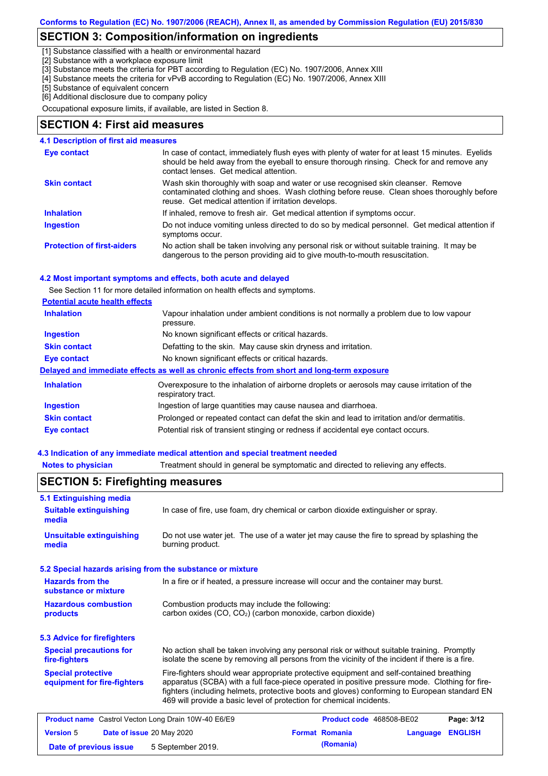## **SECTION 3: Composition/information on ingredients**

[1] Substance classified with a health or environmental hazard

[2] Substance with a workplace exposure limit

[3] Substance meets the criteria for PBT according to Regulation (EC) No. 1907/2006, Annex XIII

- [4] Substance meets the criteria for vPvB according to Regulation (EC) No. 1907/2006, Annex XIII
- [5] Substance of equivalent concern

[6] Additional disclosure due to company policy

Occupational exposure limits, if available, are listed in Section 8.

### **SECTION 4: First aid measures**

#### Do not induce vomiting unless directed to do so by medical personnel. Get medical attention if symptoms occur. In case of contact, immediately flush eyes with plenty of water for at least 15 minutes. Eyelids should be held away from the eyeball to ensure thorough rinsing. Check for and remove any contact lenses. Get medical attention. **4.1 Description of first aid measures** If inhaled, remove to fresh air. Get medical attention if symptoms occur. **Ingestion Inhalation Eye contact Protection of first-aiders** No action shall be taken involving any personal risk or without suitable training. It may be dangerous to the person providing aid to give mouth-to-mouth resuscitation. **Skin contact** Wash skin thoroughly with soap and water or use recognised skin cleanser. Remove contaminated clothing and shoes. Wash clothing before reuse. Clean shoes thoroughly before reuse. Get medical attention if irritation develops.

#### **4.2 Most important symptoms and effects, both acute and delayed**

See Section 11 for more detailed information on health effects and symptoms.

| <b>Inhalation</b>   | Vapour inhalation under ambient conditions is not normally a problem due to low vapour<br>pressure.               |
|---------------------|-------------------------------------------------------------------------------------------------------------------|
| <b>Ingestion</b>    | No known significant effects or critical hazards.                                                                 |
| <b>Skin contact</b> | Defatting to the skin. May cause skin dryness and irritation.                                                     |
| Eye contact         | No known significant effects or critical hazards.                                                                 |
|                     | Delayed and immediate effects as well as chronic effects from short and long-term exposure                        |
| <b>Inhalation</b>   | Overexposure to the inhalation of airborne droplets or aerosols may cause irritation of the<br>respiratory tract. |
| Ingestion           | Ingestion of large quantities may cause nausea and diarrhoea.                                                     |
| <b>Skin contact</b> | Prolonged or repeated contact can defat the skin and lead to irritation and/or dermatitis.                        |
| Eye contact         | Potential risk of transient stinging or redness if accidental eye contact occurs.                                 |

#### **4.3 Indication of any immediate medical attention and special treatment needed**

|                                                                                                                                                                                                                                                   | <b>SECTION 5: Firefighting measures</b>                                                                                                                                                                                                                                                                                                                           |  |                          |          |                |
|---------------------------------------------------------------------------------------------------------------------------------------------------------------------------------------------------------------------------------------------------|-------------------------------------------------------------------------------------------------------------------------------------------------------------------------------------------------------------------------------------------------------------------------------------------------------------------------------------------------------------------|--|--------------------------|----------|----------------|
| 5.1 Extinguishing media                                                                                                                                                                                                                           |                                                                                                                                                                                                                                                                                                                                                                   |  |                          |          |                |
| <b>Suitable extinguishing</b><br>media                                                                                                                                                                                                            | In case of fire, use foam, dry chemical or carbon dioxide extinguisher or spray.                                                                                                                                                                                                                                                                                  |  |                          |          |                |
| <b>Unsuitable extinguishing</b><br>media                                                                                                                                                                                                          | Do not use water jet. The use of a water jet may cause the fire to spread by splashing the<br>burning product.                                                                                                                                                                                                                                                    |  |                          |          |                |
|                                                                                                                                                                                                                                                   | 5.2 Special hazards arising from the substance or mixture                                                                                                                                                                                                                                                                                                         |  |                          |          |                |
| <b>Hazards from the</b><br>substance or mixture                                                                                                                                                                                                   | In a fire or if heated, a pressure increase will occur and the container may burst.                                                                                                                                                                                                                                                                               |  |                          |          |                |
| <b>Hazardous combustion</b><br>products                                                                                                                                                                                                           | Combustion products may include the following:<br>carbon oxides (CO, CO <sub>2</sub> ) (carbon monoxide, carbon dioxide)                                                                                                                                                                                                                                          |  |                          |          |                |
| 5.3 Advice for firefighters                                                                                                                                                                                                                       |                                                                                                                                                                                                                                                                                                                                                                   |  |                          |          |                |
| <b>Special precautions for</b><br>No action shall be taken involving any personal risk or without suitable training. Promptly<br>isolate the scene by removing all persons from the vicinity of the incident if there is a fire.<br>fire-fighters |                                                                                                                                                                                                                                                                                                                                                                   |  |                          |          |                |
| <b>Special protective</b><br>equipment for fire-fighters                                                                                                                                                                                          | Fire-fighters should wear appropriate protective equipment and self-contained breathing<br>apparatus (SCBA) with a full face-piece operated in positive pressure mode. Clothing for fire-<br>fighters (including helmets, protective boots and gloves) conforming to European standard EN<br>469 will provide a basic level of protection for chemical incidents. |  |                          |          |                |
| <b>Product name</b> Castrol Vecton Long Drain 10W-40 E6/E9                                                                                                                                                                                        |                                                                                                                                                                                                                                                                                                                                                                   |  | Product code 468508-BE02 |          | Page: 3/12     |
| <b>Version 5</b>                                                                                                                                                                                                                                  | Date of issue 20 May 2020                                                                                                                                                                                                                                                                                                                                         |  | <b>Format Romania</b>    | Language | <b>ENGLISH</b> |
| Date of previous issue                                                                                                                                                                                                                            | 5 September 2019.                                                                                                                                                                                                                                                                                                                                                 |  | (Romania)                |          |                |

**Notes to physician** Treatment should in general be symptomatic and directed to relieving any effects.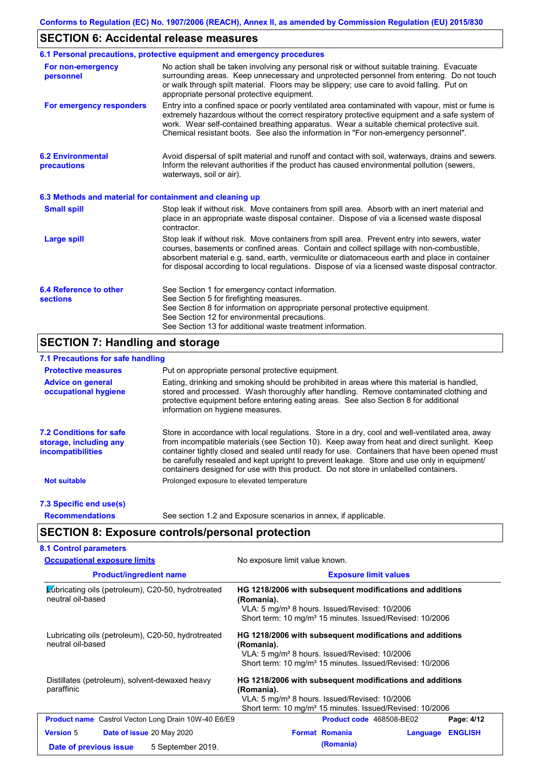## **SECTION 6: Accidental release measures**

|                                                          | 6.1 Personal precautions, protective equipment and emergency procedures                                                                                                                                                                                                                                                                                                                        |
|----------------------------------------------------------|------------------------------------------------------------------------------------------------------------------------------------------------------------------------------------------------------------------------------------------------------------------------------------------------------------------------------------------------------------------------------------------------|
| For non-emergency<br>personnel                           | No action shall be taken involving any personal risk or without suitable training. Evacuate<br>surrounding areas. Keep unnecessary and unprotected personnel from entering. Do not touch<br>or walk through spilt material. Floors may be slippery; use care to avoid falling. Put on<br>appropriate personal protective equipment.                                                            |
| For emergency responders                                 | Entry into a confined space or poorly ventilated area contaminated with vapour, mist or fume is<br>extremely hazardous without the correct respiratory protective equipment and a safe system of<br>work. Wear self-contained breathing apparatus. Wear a suitable chemical protective suit.<br>Chemical resistant boots. See also the information in "For non-emergency personnel".           |
| <b>6.2 Environmental</b><br>precautions                  | Avoid dispersal of spilt material and runoff and contact with soil, waterways, drains and sewers.<br>Inform the relevant authorities if the product has caused environmental pollution (sewers,<br>waterways, soil or air).                                                                                                                                                                    |
| 6.3 Methods and material for containment and cleaning up |                                                                                                                                                                                                                                                                                                                                                                                                |
| <b>Small spill</b>                                       | Stop leak if without risk. Move containers from spill area. Absorb with an inert material and<br>place in an appropriate waste disposal container. Dispose of via a licensed waste disposal<br>contractor.                                                                                                                                                                                     |
| <b>Large spill</b>                                       | Stop leak if without risk. Move containers from spill area. Prevent entry into sewers, water<br>courses, basements or confined areas. Contain and collect spillage with non-combustible,<br>absorbent material e.g. sand, earth, vermiculite or diatomaceous earth and place in container<br>for disposal according to local regulations. Dispose of via a licensed waste disposal contractor. |
| 6.4 Reference to other<br><b>sections</b>                | See Section 1 for emergency contact information.<br>See Section 5 for firefighting measures.<br>See Section 8 for information on appropriate personal protective equipment.<br>See Section 12 for environmental precautions.<br>See Section 13 for additional waste treatment information.                                                                                                     |

## **SECTION 7: Handling and storage**

### **7.1 Precautions for safe handling**

| <b>Protective measures</b>                                                           | Put on appropriate personal protective equipment.                                                                                                                                                                                                                                                                                                                                                                                                                                        |
|--------------------------------------------------------------------------------------|------------------------------------------------------------------------------------------------------------------------------------------------------------------------------------------------------------------------------------------------------------------------------------------------------------------------------------------------------------------------------------------------------------------------------------------------------------------------------------------|
| <b>Advice on general</b><br>occupational hygiene                                     | Eating, drinking and smoking should be prohibited in areas where this material is handled,<br>stored and processed. Wash thoroughly after handling. Remove contaminated clothing and<br>protective equipment before entering eating areas. See also Section 8 for additional<br>information on hygiene measures.                                                                                                                                                                         |
| <b>7.2 Conditions for safe</b><br>storage, including any<br><i>incompatibilities</i> | Store in accordance with local requlations. Store in a dry, cool and well-ventilated area, away<br>from incompatible materials (see Section 10). Keep away from heat and direct sunlight. Keep<br>container tightly closed and sealed until ready for use. Containers that have been opened must<br>be carefully resealed and kept upright to prevent leakage. Store and use only in equipment/<br>containers designed for use with this product. Do not store in unlabelled containers. |
| <b>Not suitable</b>                                                                  | Prolonged exposure to elevated temperature                                                                                                                                                                                                                                                                                                                                                                                                                                               |
| 7.3 Specific end use(s)                                                              |                                                                                                                                                                                                                                                                                                                                                                                                                                                                                          |
| <b>Recommendations</b>                                                               | See section 1.2 and Exposure scenarios in annex, if applicable.                                                                                                                                                                                                                                                                                                                                                                                                                          |

## **SECTION 8: Exposure controls/personal protection**

| <b>Occupational exposure limits</b>                                     | No exposure limit value known.                                                                                                                                                                              |  |  |  |
|-------------------------------------------------------------------------|-------------------------------------------------------------------------------------------------------------------------------------------------------------------------------------------------------------|--|--|--|
| <b>Product/ingredient name</b>                                          | <b>Exposure limit values</b>                                                                                                                                                                                |  |  |  |
| Lubricating oils (petroleum), C20-50, hydrotreated<br>neutral oil-based | HG 1218/2006 with subsequent modifications and additions<br>(Romania).<br>VLA: 5 mg/m <sup>3</sup> 8 hours. Issued/Revised: 10/2006<br>Short term: 10 mg/m <sup>3</sup> 15 minutes. Issued/Revised: 10/2006 |  |  |  |
| Lubricating oils (petroleum), C20-50, hydrotreated<br>neutral oil-based | HG 1218/2006 with subsequent modifications and additions<br>(Romania).<br>VLA: 5 mg/m <sup>3</sup> 8 hours. Issued/Revised: 10/2006<br>Short term: 10 mg/m <sup>3</sup> 15 minutes. Issued/Revised: 10/2006 |  |  |  |
| Distillates (petroleum), solvent-dewaxed heavy<br>paraffinic            | HG 1218/2006 with subsequent modifications and additions<br>(Romania).<br>VLA: 5 mg/m <sup>3</sup> 8 hours. Issued/Revised: 10/2006<br>Short term: 10 mg/m <sup>3</sup> 15 minutes. Issued/Revised: 10/2006 |  |  |  |
| <b>Product name</b> Castrol Vecton Long Drain 10W-40 E6/E9              | Product code 468508-BE02<br>Page: 4/12                                                                                                                                                                      |  |  |  |
| <b>Version 5</b><br>Date of issue 20 May 2020                           | <b>ENGLISH</b><br><b>Format Romania</b><br>Language                                                                                                                                                         |  |  |  |
|                                                                         | (Romania)                                                                                                                                                                                                   |  |  |  |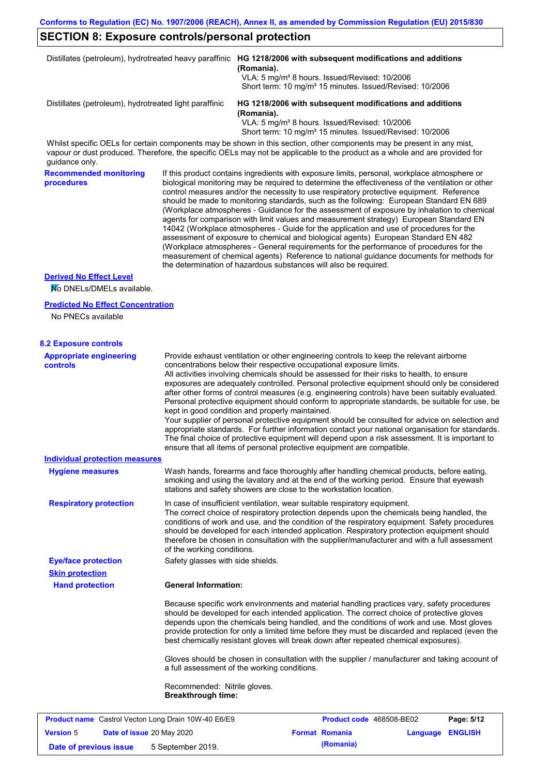# **SECTION 8: Exposure controls/personal protection**

|                                                            |                                                           | Distillates (petroleum), hydrotreated heavy paraffinic HG 1218/2006 with subsequent modifications and additions<br>(Romania).<br>VLA: 5 mg/m <sup>3</sup> 8 hours. Issued/Revised: 10/2006<br>Short term: 10 mg/m <sup>3</sup> 15 minutes. Issued/Revised: 10/2006                                                                                                                                                                                                                                                                                                                                                                                                                                                                                                                                                                                                                                                                                                                                                         |
|------------------------------------------------------------|-----------------------------------------------------------|----------------------------------------------------------------------------------------------------------------------------------------------------------------------------------------------------------------------------------------------------------------------------------------------------------------------------------------------------------------------------------------------------------------------------------------------------------------------------------------------------------------------------------------------------------------------------------------------------------------------------------------------------------------------------------------------------------------------------------------------------------------------------------------------------------------------------------------------------------------------------------------------------------------------------------------------------------------------------------------------------------------------------|
| Distillates (petroleum), hydrotreated light paraffinic     |                                                           | HG 1218/2006 with subsequent modifications and additions<br>(Romania).<br>VLA: 5 mg/m <sup>3</sup> 8 hours. Issued/Revised: 10/2006                                                                                                                                                                                                                                                                                                                                                                                                                                                                                                                                                                                                                                                                                                                                                                                                                                                                                        |
| guidance only.                                             |                                                           | Short term: 10 mg/m <sup>3</sup> 15 minutes. Issued/Revised: 10/2006<br>Whilst specific OELs for certain components may be shown in this section, other components may be present in any mist,<br>vapour or dust produced. Therefore, the specific OELs may not be applicable to the product as a whole and are provided for                                                                                                                                                                                                                                                                                                                                                                                                                                                                                                                                                                                                                                                                                               |
| <b>Recommended monitoring</b><br>procedures                |                                                           | If this product contains ingredients with exposure limits, personal, workplace atmosphere or<br>biological monitoring may be required to determine the effectiveness of the ventilation or other<br>control measures and/or the necessity to use respiratory protective equipment. Reference<br>should be made to monitoring standards, such as the following: European Standard EN 689<br>(Workplace atmospheres - Guidance for the assessment of exposure by inhalation to chemical<br>agents for comparison with limit values and measurement strategy) European Standard EN<br>14042 (Workplace atmospheres - Guide for the application and use of procedures for the<br>assessment of exposure to chemical and biological agents) European Standard EN 482<br>(Workplace atmospheres - General requirements for the performance of procedures for the<br>measurement of chemical agents) Reference to national guidance documents for methods for<br>the determination of hazardous substances will also be required. |
| <b>Derived No Effect Level</b>                             |                                                           |                                                                                                                                                                                                                                                                                                                                                                                                                                                                                                                                                                                                                                                                                                                                                                                                                                                                                                                                                                                                                            |
| No DNELs/DMELs available.                                  |                                                           |                                                                                                                                                                                                                                                                                                                                                                                                                                                                                                                                                                                                                                                                                                                                                                                                                                                                                                                                                                                                                            |
| <b>Predicted No Effect Concentration</b>                   |                                                           |                                                                                                                                                                                                                                                                                                                                                                                                                                                                                                                                                                                                                                                                                                                                                                                                                                                                                                                                                                                                                            |
| No PNECs available                                         |                                                           |                                                                                                                                                                                                                                                                                                                                                                                                                                                                                                                                                                                                                                                                                                                                                                                                                                                                                                                                                                                                                            |
| <b>8.2 Exposure controls</b>                               |                                                           |                                                                                                                                                                                                                                                                                                                                                                                                                                                                                                                                                                                                                                                                                                                                                                                                                                                                                                                                                                                                                            |
| <b>Appropriate engineering</b><br><b>controls</b>          |                                                           | Provide exhaust ventilation or other engineering controls to keep the relevant airborne<br>concentrations below their respective occupational exposure limits.<br>All activities involving chemicals should be assessed for their risks to health, to ensure<br>exposures are adequately controlled. Personal protective equipment should only be considered<br>after other forms of control measures (e.g. engineering controls) have been suitably evaluated.<br>Personal protective equipment should conform to appropriate standards, be suitable for use, be<br>kept in good condition and properly maintained.<br>Your supplier of personal protective equipment should be consulted for advice on selection and<br>appropriate standards. For further information contact your national organisation for standards.<br>The final choice of protective equipment will depend upon a risk assessment. It is important to<br>ensure that all items of personal protective equipment are compatible.                    |
| <b>Individual protection measures</b>                      |                                                           |                                                                                                                                                                                                                                                                                                                                                                                                                                                                                                                                                                                                                                                                                                                                                                                                                                                                                                                                                                                                                            |
| <b>Hygiene measures</b>                                    |                                                           | Wash hands, forearms and face thoroughly after handling chemical products, before eating,<br>smoking and using the lavatory and at the end of the working period. Ensure that eyewash<br>stations and safety showers are close to the workstation location.                                                                                                                                                                                                                                                                                                                                                                                                                                                                                                                                                                                                                                                                                                                                                                |
| <b>Respiratory protection</b>                              | of the working conditions.                                | In case of insufficient ventilation, wear suitable respiratory equipment.<br>The correct choice of respiratory protection depends upon the chemicals being handled, the<br>conditions of work and use, and the condition of the respiratory equipment. Safety procedures<br>should be developed for each intended application. Respiratory protection equipment should<br>therefore be chosen in consultation with the supplier/manufacturer and with a full assessment                                                                                                                                                                                                                                                                                                                                                                                                                                                                                                                                                    |
| <b>Eye/face protection</b>                                 | Safety glasses with side shields.                         |                                                                                                                                                                                                                                                                                                                                                                                                                                                                                                                                                                                                                                                                                                                                                                                                                                                                                                                                                                                                                            |
| <b>Skin protection</b>                                     |                                                           |                                                                                                                                                                                                                                                                                                                                                                                                                                                                                                                                                                                                                                                                                                                                                                                                                                                                                                                                                                                                                            |
| <b>Hand protection</b>                                     | <b>General Information:</b>                               |                                                                                                                                                                                                                                                                                                                                                                                                                                                                                                                                                                                                                                                                                                                                                                                                                                                                                                                                                                                                                            |
|                                                            |                                                           | Because specific work environments and material handling practices vary, safety procedures<br>should be developed for each intended application. The correct choice of protective gloves<br>depends upon the chemicals being handled, and the conditions of work and use. Most gloves<br>provide protection for only a limited time before they must be discarded and replaced (even the<br>best chemically resistant gloves will break down after repeated chemical exposures).                                                                                                                                                                                                                                                                                                                                                                                                                                                                                                                                           |
|                                                            |                                                           | Gloves should be chosen in consultation with the supplier / manufacturer and taking account of<br>a full assessment of the working conditions.                                                                                                                                                                                                                                                                                                                                                                                                                                                                                                                                                                                                                                                                                                                                                                                                                                                                             |
|                                                            | Recommended: Nitrile gloves.<br><b>Breakthrough time:</b> |                                                                                                                                                                                                                                                                                                                                                                                                                                                                                                                                                                                                                                                                                                                                                                                                                                                                                                                                                                                                                            |
| <b>Product name</b> Castrol Vecton Long Drain 10W-40 E6/E9 |                                                           | Product code 468508-BE02<br>Page: 5/12                                                                                                                                                                                                                                                                                                                                                                                                                                                                                                                                                                                                                                                                                                                                                                                                                                                                                                                                                                                     |
| <b>Version 5</b><br>Date of issue 20 May 2020              |                                                           | <b>Format Romania</b><br>Language ENGLISH                                                                                                                                                                                                                                                                                                                                                                                                                                                                                                                                                                                                                                                                                                                                                                                                                                                                                                                                                                                  |

**Date of previous issue 5** September 2019. **(Romania)**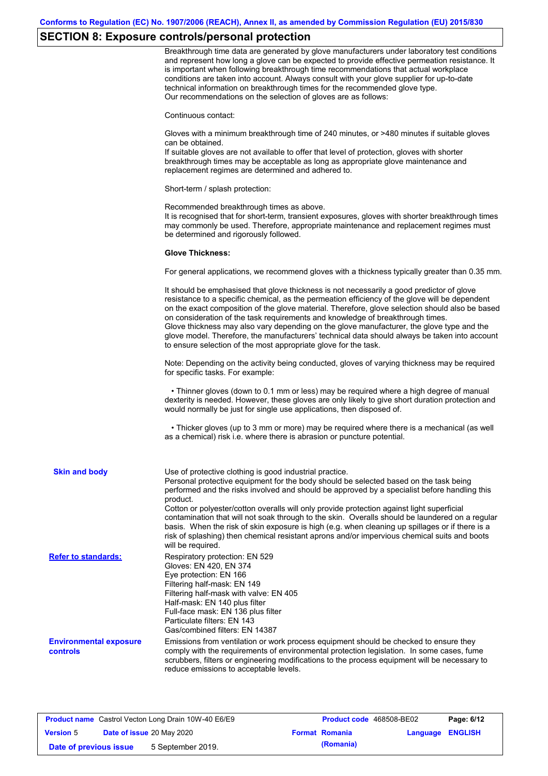# **SECTION 8: Exposure controls/personal protection**

|                                                  | Breakthrough time data are generated by glove manufacturers under laboratory test conditions<br>and represent how long a glove can be expected to provide effective permeation resistance. It<br>is important when following breakthrough time recommendations that actual workplace<br>conditions are taken into account. Always consult with your glove supplier for up-to-date<br>technical information on breakthrough times for the recommended glove type.<br>Our recommendations on the selection of gloves are as follows:                                                                                                                |
|--------------------------------------------------|---------------------------------------------------------------------------------------------------------------------------------------------------------------------------------------------------------------------------------------------------------------------------------------------------------------------------------------------------------------------------------------------------------------------------------------------------------------------------------------------------------------------------------------------------------------------------------------------------------------------------------------------------|
|                                                  | Continuous contact:                                                                                                                                                                                                                                                                                                                                                                                                                                                                                                                                                                                                                               |
|                                                  | Gloves with a minimum breakthrough time of 240 minutes, or >480 minutes if suitable gloves<br>can be obtained.<br>If suitable gloves are not available to offer that level of protection, gloves with shorter<br>breakthrough times may be acceptable as long as appropriate glove maintenance and<br>replacement regimes are determined and adhered to.                                                                                                                                                                                                                                                                                          |
|                                                  | Short-term / splash protection:                                                                                                                                                                                                                                                                                                                                                                                                                                                                                                                                                                                                                   |
|                                                  | Recommended breakthrough times as above.<br>It is recognised that for short-term, transient exposures, gloves with shorter breakthrough times<br>may commonly be used. Therefore, appropriate maintenance and replacement regimes must<br>be determined and rigorously followed.                                                                                                                                                                                                                                                                                                                                                                  |
|                                                  | <b>Glove Thickness:</b>                                                                                                                                                                                                                                                                                                                                                                                                                                                                                                                                                                                                                           |
|                                                  | For general applications, we recommend gloves with a thickness typically greater than 0.35 mm.                                                                                                                                                                                                                                                                                                                                                                                                                                                                                                                                                    |
|                                                  | It should be emphasised that glove thickness is not necessarily a good predictor of glove<br>resistance to a specific chemical, as the permeation efficiency of the glove will be dependent<br>on the exact composition of the glove material. Therefore, glove selection should also be based<br>on consideration of the task requirements and knowledge of breakthrough times.<br>Glove thickness may also vary depending on the glove manufacturer, the glove type and the<br>glove model. Therefore, the manufacturers' technical data should always be taken into account<br>to ensure selection of the most appropriate glove for the task. |
|                                                  | Note: Depending on the activity being conducted, gloves of varying thickness may be required<br>for specific tasks. For example:                                                                                                                                                                                                                                                                                                                                                                                                                                                                                                                  |
|                                                  | • Thinner gloves (down to 0.1 mm or less) may be required where a high degree of manual<br>dexterity is needed. However, these gloves are only likely to give short duration protection and<br>would normally be just for single use applications, then disposed of.                                                                                                                                                                                                                                                                                                                                                                              |
|                                                  | • Thicker gloves (up to 3 mm or more) may be required where there is a mechanical (as well<br>as a chemical) risk i.e. where there is abrasion or puncture potential.                                                                                                                                                                                                                                                                                                                                                                                                                                                                             |
| <b>Skin and body</b>                             | Use of protective clothing is good industrial practice.<br>Personal protective equipment for the body should be selected based on the task being<br>performed and the risks involved and should be approved by a specialist before handling this<br>product.                                                                                                                                                                                                                                                                                                                                                                                      |
|                                                  | Cotton or polyester/cotton overalls will only provide protection against light superficial<br>contamination that will not soak through to the skin. Overalls should be laundered on a regular<br>basis. When the risk of skin exposure is high (e.g. when cleaning up spillages or if there is a<br>risk of splashing) then chemical resistant aprons and/or impervious chemical suits and boots<br>will be required.                                                                                                                                                                                                                             |
| <b>Refer to standards:</b>                       | Respiratory protection: EN 529<br>Gloves: EN 420, EN 374<br>Eye protection: EN 166<br>Filtering half-mask: EN 149<br>Filtering half-mask with valve: EN 405<br>Half-mask: EN 140 plus filter<br>Full-face mask: EN 136 plus filter<br>Particulate filters: EN 143<br>Gas/combined filters: EN 14387                                                                                                                                                                                                                                                                                                                                               |
| <b>Environmental exposure</b><br><b>controls</b> | Emissions from ventilation or work process equipment should be checked to ensure they<br>comply with the requirements of environmental protection legislation. In some cases, fume<br>scrubbers, filters or engineering modifications to the process equipment will be necessary to<br>reduce emissions to acceptable levels.                                                                                                                                                                                                                                                                                                                     |

| <b>Product name</b> Castrol Vecton Long Drain 10W-40 E6/E9 |  | <b>Product code</b> 468508-BE02 |  | Page: 6/12            |                         |  |
|------------------------------------------------------------|--|---------------------------------|--|-----------------------|-------------------------|--|
| <b>Version 5</b>                                           |  | Date of issue 20 May 2020       |  | <b>Format Romania</b> | <b>Language ENGLISH</b> |  |
| Date of previous issue                                     |  | 5 September 2019.               |  | (Romania)             |                         |  |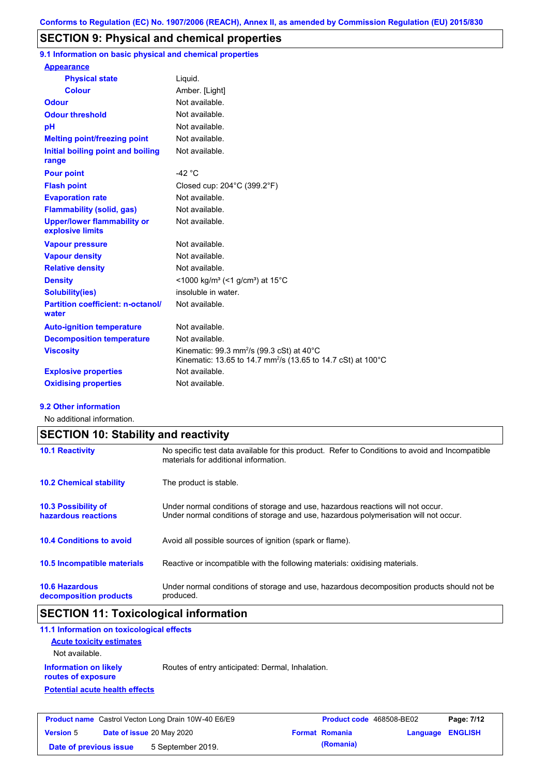## **SECTION 9: Physical and chemical properties**

**9.1 Information on basic physical and chemical properties**

| <b>Appearance</b>                                      |                                                                                                                                              |
|--------------------------------------------------------|----------------------------------------------------------------------------------------------------------------------------------------------|
| <b>Physical state</b>                                  | Liquid.                                                                                                                                      |
| <b>Colour</b>                                          | Amber. [Light]                                                                                                                               |
| <b>Odour</b>                                           | Not available.                                                                                                                               |
| <b>Odour threshold</b>                                 | Not available.                                                                                                                               |
| рH                                                     | Not available.                                                                                                                               |
| <b>Melting point/freezing point</b>                    | Not available.                                                                                                                               |
| Initial boiling point and boiling<br>range             | Not available.                                                                                                                               |
| <b>Pour point</b>                                      | -42 $^{\circ}$ C                                                                                                                             |
| <b>Flash point</b>                                     | Closed cup: 204°C (399.2°F)                                                                                                                  |
| <b>Evaporation rate</b>                                | Not available.                                                                                                                               |
| <b>Flammability (solid, gas)</b>                       | Not available.                                                                                                                               |
| <b>Upper/lower flammability or</b><br>explosive limits | Not available.                                                                                                                               |
| <b>Vapour pressure</b>                                 | Not available.                                                                                                                               |
| <b>Vapour density</b>                                  | Not available.                                                                                                                               |
| <b>Relative density</b>                                | Not available.                                                                                                                               |
| <b>Density</b>                                         | <1000 kg/m <sup>3</sup> (<1 g/cm <sup>3</sup> ) at 15 <sup>°</sup> C                                                                         |
| <b>Solubility(ies)</b>                                 | insoluble in water.                                                                                                                          |
| <b>Partition coefficient: n-octanol/</b><br>water      | Not available.                                                                                                                               |
| <b>Auto-ignition temperature</b>                       | Not available.                                                                                                                               |
| <b>Decomposition temperature</b>                       | Not available.                                                                                                                               |
| <b>Viscosity</b>                                       | Kinematic: 99.3 mm <sup>2</sup> /s (99.3 cSt) at $40^{\circ}$ C<br>Kinematic: 13.65 to 14.7 mm <sup>2</sup> /s (13.65 to 14.7 cSt) at 100 °C |
| <b>Explosive properties</b>                            | Not available.                                                                                                                               |
| <b>Oxidising properties</b>                            | Not available.                                                                                                                               |

#### **9.2 Other information**

No additional information.

| <b>SECTION 10: Stability and reactivity</b>       |                                                                                                                                                                         |  |
|---------------------------------------------------|-------------------------------------------------------------------------------------------------------------------------------------------------------------------------|--|
| <b>10.1 Reactivity</b>                            | No specific test data available for this product. Refer to Conditions to avoid and Incompatible<br>materials for additional information.                                |  |
| <b>10.2 Chemical stability</b>                    | The product is stable.                                                                                                                                                  |  |
| <b>10.3 Possibility of</b><br>hazardous reactions | Under normal conditions of storage and use, hazardous reactions will not occur.<br>Under normal conditions of storage and use, hazardous polymerisation will not occur. |  |
| <b>10.4 Conditions to avoid</b>                   | Avoid all possible sources of ignition (spark or flame).                                                                                                                |  |
| <b>10.5 Incompatible materials</b>                | Reactive or incompatible with the following materials: oxidising materials.                                                                                             |  |
| <b>10.6 Hazardous</b><br>decomposition products   | Under normal conditions of storage and use, hazardous decomposition products should not be<br>produced.                                                                 |  |

# **SECTION 11: Toxicological information**

| 11.1 Information on toxicological effects          |                                                  |
|----------------------------------------------------|--------------------------------------------------|
| <b>Acute toxicity estimates</b><br>Not available.  |                                                  |
| <b>Information on likely</b><br>routes of exposure | Routes of entry anticipated: Dermal, Inhalation. |
| <b>Potential acute health effects</b>              |                                                  |
|                                                    |                                                  |

| <b>Product name</b> Castrol Vecton Long Drain 10W-40 E6/E9 |  | <b>Product code</b> 468508-BE02 |  | Page: 7/12            |                         |  |
|------------------------------------------------------------|--|---------------------------------|--|-----------------------|-------------------------|--|
| <b>Version 5</b>                                           |  | Date of issue 20 May 2020       |  | <b>Format Romania</b> | <b>Language ENGLISH</b> |  |
| Date of previous issue                                     |  | 5 September 2019.               |  | (Romania)             |                         |  |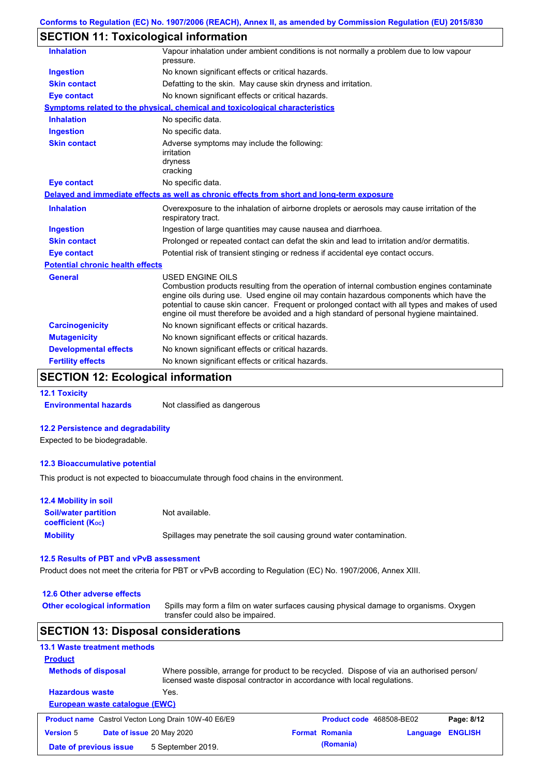## **SECTION 11: Toxicological information**

| <b>Inhalation</b>                       | Vapour inhalation under ambient conditions is not normally a problem due to low vapour<br>pressure.                                                                                                                                                                                                                                                                                                             |  |  |
|-----------------------------------------|-----------------------------------------------------------------------------------------------------------------------------------------------------------------------------------------------------------------------------------------------------------------------------------------------------------------------------------------------------------------------------------------------------------------|--|--|
| <b>Ingestion</b>                        | No known significant effects or critical hazards.                                                                                                                                                                                                                                                                                                                                                               |  |  |
| <b>Skin contact</b>                     | Defatting to the skin. May cause skin dryness and irritation.                                                                                                                                                                                                                                                                                                                                                   |  |  |
| <b>Eye contact</b>                      | No known significant effects or critical hazards.                                                                                                                                                                                                                                                                                                                                                               |  |  |
|                                         | <b>Symptoms related to the physical, chemical and toxicological characteristics</b>                                                                                                                                                                                                                                                                                                                             |  |  |
| <b>Inhalation</b>                       | No specific data.                                                                                                                                                                                                                                                                                                                                                                                               |  |  |
| <b>Ingestion</b>                        | No specific data.                                                                                                                                                                                                                                                                                                                                                                                               |  |  |
| <b>Skin contact</b>                     | Adverse symptoms may include the following:<br>irritation<br>dryness<br>cracking                                                                                                                                                                                                                                                                                                                                |  |  |
| <b>Eye contact</b>                      | No specific data.                                                                                                                                                                                                                                                                                                                                                                                               |  |  |
|                                         | Delayed and immediate effects as well as chronic effects from short and long-term exposure                                                                                                                                                                                                                                                                                                                      |  |  |
| <b>Inhalation</b>                       | Overexposure to the inhalation of airborne droplets or aerosols may cause irritation of the<br>respiratory tract.                                                                                                                                                                                                                                                                                               |  |  |
| <b>Ingestion</b>                        | Ingestion of large quantities may cause nausea and diarrhoea.                                                                                                                                                                                                                                                                                                                                                   |  |  |
| <b>Skin contact</b>                     | Prolonged or repeated contact can defat the skin and lead to irritation and/or dermatitis.                                                                                                                                                                                                                                                                                                                      |  |  |
| <b>Eye contact</b>                      | Potential risk of transient stinging or redness if accidental eye contact occurs.                                                                                                                                                                                                                                                                                                                               |  |  |
| <b>Potential chronic health effects</b> |                                                                                                                                                                                                                                                                                                                                                                                                                 |  |  |
| <b>General</b>                          | <b>USED ENGINE OILS</b><br>Combustion products resulting from the operation of internal combustion engines contaminate<br>engine oils during use. Used engine oil may contain hazardous components which have the<br>potential to cause skin cancer. Frequent or prolonged contact with all types and makes of used<br>engine oil must therefore be avoided and a high standard of personal hygiene maintained. |  |  |
| <b>Carcinogenicity</b>                  | No known significant effects or critical hazards.                                                                                                                                                                                                                                                                                                                                                               |  |  |
| <b>Mutagenicity</b>                     | No known significant effects or critical hazards.                                                                                                                                                                                                                                                                                                                                                               |  |  |
| <b>Developmental effects</b>            | No known significant effects or critical hazards.                                                                                                                                                                                                                                                                                                                                                               |  |  |
| <b>Fertility effects</b>                | No known significant effects or critical hazards.                                                                                                                                                                                                                                                                                                                                                               |  |  |

## **SECTION 12: Ecological information**

**12.1 Toxicity**

**Environmental hazards** Not classified as dangerous

#### **12.2 Persistence and degradability**

Expected to be biodegradable.

### **12.3 Bioaccumulative potential**

This product is not expected to bioaccumulate through food chains in the environment.

| <b>12.4 Mobility in soil</b>                            |                                                                      |
|---------------------------------------------------------|----------------------------------------------------------------------|
| <b>Soil/water partition</b><br><b>coefficient (Koc)</b> | Not available.                                                       |
| <b>Mobility</b>                                         | Spillages may penetrate the soil causing ground water contamination. |

#### **12.5 Results of PBT and vPvB assessment**

Product does not meet the criteria for PBT or vPvB according to Regulation (EC) No. 1907/2006, Annex XIII.

| 12.6 Other adverse effects                                 |                                                                                                                                                                      |                                 |          |                |
|------------------------------------------------------------|----------------------------------------------------------------------------------------------------------------------------------------------------------------------|---------------------------------|----------|----------------|
| <b>Other ecological information</b>                        | Spills may form a film on water surfaces causing physical damage to organisms. Oxygen<br>transfer could also be impaired.                                            |                                 |          |                |
| <b>SECTION 13: Disposal considerations</b>                 |                                                                                                                                                                      |                                 |          |                |
| <b>13.1 Waste treatment methods</b>                        |                                                                                                                                                                      |                                 |          |                |
| <b>Product</b>                                             |                                                                                                                                                                      |                                 |          |                |
| <b>Methods of disposal</b>                                 | Where possible, arrange for product to be recycled. Dispose of via an authorised person/<br>licensed waste disposal contractor in accordance with local regulations. |                                 |          |                |
| <b>Hazardous waste</b>                                     | Yes.                                                                                                                                                                 |                                 |          |                |
|                                                            |                                                                                                                                                                      |                                 |          |                |
| European waste catalogue (EWC)                             |                                                                                                                                                                      |                                 |          |                |
| <b>Product name</b> Castrol Vecton Long Drain 10W-40 E6/E9 |                                                                                                                                                                      | <b>Product code</b> 468508-BE02 |          | Page: 8/12     |
| <b>Version 5</b>                                           | <b>Date of issue 20 May 2020</b>                                                                                                                                     | <b>Format Romania</b>           | Language | <b>ENGLISH</b> |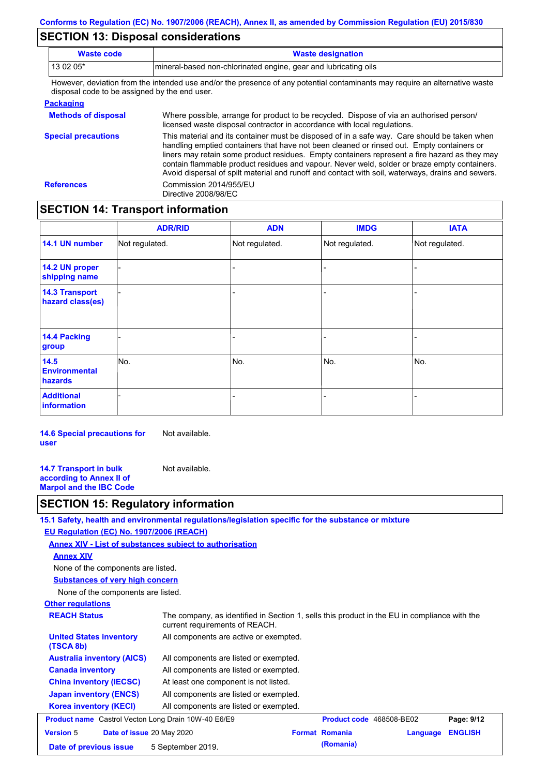## **SECTION 13: Disposal considerations**

**References** Commission 2014/955/EU

-

**14.1 UN number**

**14.2 UN proper shipping name 14.3 Transport hazard class(es)**

**14.4 Packing group**

**Environmental hazards**

**Additional information**

**14.5** 

**SECTION 14: Transport information**

-

-

Directive 2008/98/EC

| <b>Waste code</b>                             | <b>Waste designation</b>                                                                                                                                                                                                                                                                   |  |  |  |
|-----------------------------------------------|--------------------------------------------------------------------------------------------------------------------------------------------------------------------------------------------------------------------------------------------------------------------------------------------|--|--|--|
| 13 02 05*                                     | mineral-based non-chlorinated engine, gear and lubricating oils                                                                                                                                                                                                                            |  |  |  |
| disposal code to be assigned by the end user. | However, deviation from the intended use and/or the presence of any potential contaminants may require an alternative waste                                                                                                                                                                |  |  |  |
| <b>Packaging</b>                              |                                                                                                                                                                                                                                                                                            |  |  |  |
| <b>Methods of disposal</b>                    | Where possible, arrange for product to be recycled. Dispose of via an authorised person/<br>licensed waste disposal contractor in accordance with local regulations.                                                                                                                       |  |  |  |
| <b>Special precautions</b>                    | This material and its container must be disposed of in a safe way. Care should be taken when<br>handling emptied containers that have not been cleaned or rinsed out. Empty containers or<br>liners may retain some product residues. Empty containers represent a fire hazard as they may |  |  |  |

**ADN**

contain flammable product residues and vapour. Never weld, solder or braze empty containers. Avoid dispersal of spilt material and runoff and contact with soil, waterways, drains and sewers.

-

**ADR/RID IMDG IATA**

Not regulated.

-

-

No.

-

-

-

- - - No. No. No.

-

-

-

Not regulated. Not regulated. Not regulated.

**14.6 Special precautions for user** Not available.

**14.7 Transport in bulk according to Annex II of Marpol and the IBC Code** Not available.

## **SECTION 15: Regulatory information**

**15.1 Safety, health and environmental regulations/legislation specific for the substance or mixture**

### **EU Regulation (EC) No. 1907/2006 (REACH)**

**Annex XIV - List of substances subject to authorisation**

**Annex XIV**

None of the components are listed.

**Substances of very high concern**

None of the components are listed.

### **Other regulations**

| <b>REACH Status</b>                                        | The company, as identified in Section 1, sells this product in the EU in compliance with the<br>current requirements of REACH. |                       |                                 |                |  |
|------------------------------------------------------------|--------------------------------------------------------------------------------------------------------------------------------|-----------------------|---------------------------------|----------------|--|
| <b>United States inventory</b><br>(TSCA 8b)                | All components are active or exempted.                                                                                         |                       |                                 |                |  |
| <b>Australia inventory (AICS)</b>                          | All components are listed or exempted.                                                                                         |                       |                                 |                |  |
| <b>Canada inventory</b>                                    | All components are listed or exempted.                                                                                         |                       |                                 |                |  |
| <b>China inventory (IECSC)</b>                             | At least one component is not listed.                                                                                          |                       |                                 |                |  |
| <b>Japan inventory (ENCS)</b>                              | All components are listed or exempted.                                                                                         |                       |                                 |                |  |
| <b>Korea inventory (KECI)</b>                              | All components are listed or exempted.                                                                                         |                       |                                 |                |  |
| <b>Product name</b> Castrol Vecton Long Drain 10W-40 E6/E9 |                                                                                                                                |                       | <b>Product code</b> 468508-BE02 | Page: 9/12     |  |
| <b>Version 5</b><br>Date of issue 20 May 2020              |                                                                                                                                | <b>Format Romania</b> | Language                        | <b>ENGLISH</b> |  |
| Date of previous issue                                     | 5 September 2019.                                                                                                              | (Romania)             |                                 |                |  |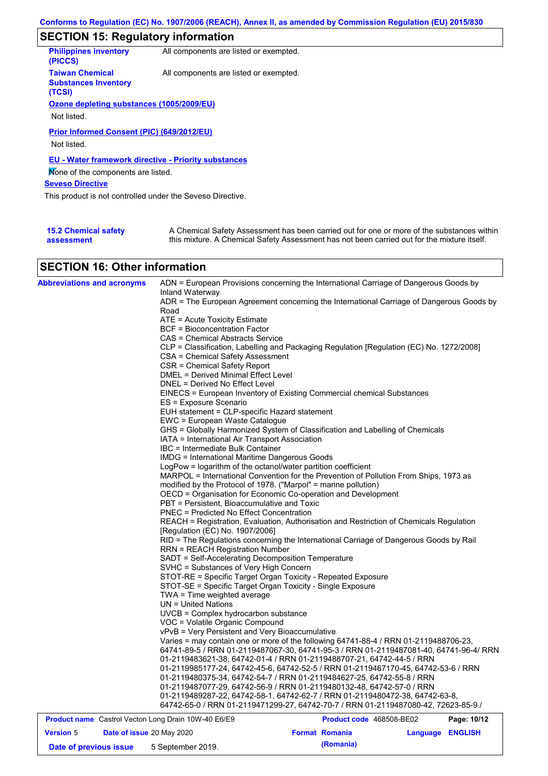# **SECTION 15: Regulatory information**

| <b>Philippines inventory</b><br>(PICCS)                         | All components are listed or exempted. |                                                |  |
|-----------------------------------------------------------------|----------------------------------------|------------------------------------------------|--|
| <b>Taiwan Chemical</b><br><b>Substances Inventory</b><br>(TCSI) | All components are listed or exempted. |                                                |  |
| Ozone depleting substances (1005/2009/EU)                       |                                        |                                                |  |
| Not listed.                                                     |                                        |                                                |  |
| Prior Informed Consent (PIC) (649/2012/EU)<br>Not listed.       |                                        |                                                |  |
| <b>EU - Water framework directive - Priority substances</b>     |                                        |                                                |  |
| Mone of the components are listed.                              |                                        |                                                |  |
| <b>Seveso Directive</b>                                         |                                        |                                                |  |
| This product is not controlled under the Seveso Directive.      |                                        |                                                |  |
|                                                                 |                                        |                                                |  |
| $\sim$ $\sim$ $\sim$ $\sim$ $\sim$ $\sim$ $\sim$ $\sim$         |                                        | $\mathbf{r}$ and $\mathbf{r}$ and $\mathbf{r}$ |  |

| <b>15.2 Chemical safety</b> | A Chemical Safety Assessment has been carried out for one or more of the substances within  |
|-----------------------------|---------------------------------------------------------------------------------------------|
| assessment                  | this mixture. A Chemical Safety Assessment has not been carried out for the mixture itself. |

# **SECTION 16: Other information**

| <b>Abbreviations and acronyms</b>                   | ADN = European Provisions concerning the International Carriage of Dangerous Goods by                                                                                           |  |  |  |  |  |  |
|-----------------------------------------------------|---------------------------------------------------------------------------------------------------------------------------------------------------------------------------------|--|--|--|--|--|--|
|                                                     | Inland Waterway<br>ADR = The European Agreement concerning the International Carriage of Dangerous Goods by                                                                     |  |  |  |  |  |  |
|                                                     | Road                                                                                                                                                                            |  |  |  |  |  |  |
|                                                     | ATE = Acute Toxicity Estimate                                                                                                                                                   |  |  |  |  |  |  |
|                                                     | BCF = Bioconcentration Factor                                                                                                                                                   |  |  |  |  |  |  |
|                                                     | CAS = Chemical Abstracts Service                                                                                                                                                |  |  |  |  |  |  |
|                                                     |                                                                                                                                                                                 |  |  |  |  |  |  |
|                                                     | CLP = Classification, Labelling and Packaging Regulation [Regulation (EC) No. 1272/2008]<br>CSA = Chemical Safety Assessment                                                    |  |  |  |  |  |  |
|                                                     | CSR = Chemical Safety Report                                                                                                                                                    |  |  |  |  |  |  |
|                                                     | DMEL = Derived Minimal Effect Level                                                                                                                                             |  |  |  |  |  |  |
|                                                     | DNEL = Derived No Effect Level                                                                                                                                                  |  |  |  |  |  |  |
|                                                     | EINECS = European Inventory of Existing Commercial chemical Substances                                                                                                          |  |  |  |  |  |  |
|                                                     | ES = Exposure Scenario                                                                                                                                                          |  |  |  |  |  |  |
|                                                     | EUH statement = CLP-specific Hazard statement                                                                                                                                   |  |  |  |  |  |  |
|                                                     | EWC = European Waste Catalogue                                                                                                                                                  |  |  |  |  |  |  |
|                                                     | GHS = Globally Harmonized System of Classification and Labelling of Chemicals                                                                                                   |  |  |  |  |  |  |
|                                                     | IATA = International Air Transport Association                                                                                                                                  |  |  |  |  |  |  |
|                                                     | IBC = Intermediate Bulk Container                                                                                                                                               |  |  |  |  |  |  |
|                                                     | IMDG = International Maritime Dangerous Goods                                                                                                                                   |  |  |  |  |  |  |
|                                                     | LogPow = logarithm of the octanol/water partition coefficient                                                                                                                   |  |  |  |  |  |  |
|                                                     | MARPOL = International Convention for the Prevention of Pollution From Ships, 1973 as                                                                                           |  |  |  |  |  |  |
|                                                     | modified by the Protocol of 1978. ("Marpol" = marine pollution)                                                                                                                 |  |  |  |  |  |  |
|                                                     | OECD = Organisation for Economic Co-operation and Development                                                                                                                   |  |  |  |  |  |  |
|                                                     | PBT = Persistent, Bioaccumulative and Toxic                                                                                                                                     |  |  |  |  |  |  |
|                                                     | <b>PNEC = Predicted No Effect Concentration</b>                                                                                                                                 |  |  |  |  |  |  |
|                                                     | REACH = Registration, Evaluation, Authorisation and Restriction of Chemicals Regulation                                                                                         |  |  |  |  |  |  |
|                                                     | [Regulation (EC) No. 1907/2006]                                                                                                                                                 |  |  |  |  |  |  |
|                                                     | RID = The Regulations concerning the International Carriage of Dangerous Goods by Rail                                                                                          |  |  |  |  |  |  |
|                                                     | <b>RRN = REACH Registration Number</b>                                                                                                                                          |  |  |  |  |  |  |
|                                                     | SADT = Self-Accelerating Decomposition Temperature                                                                                                                              |  |  |  |  |  |  |
|                                                     | SVHC = Substances of Very High Concern                                                                                                                                          |  |  |  |  |  |  |
|                                                     | STOT-RE = Specific Target Organ Toxicity - Repeated Exposure                                                                                                                    |  |  |  |  |  |  |
|                                                     | STOT-SE = Specific Target Organ Toxicity - Single Exposure                                                                                                                      |  |  |  |  |  |  |
|                                                     | TWA = Time weighted average                                                                                                                                                     |  |  |  |  |  |  |
|                                                     | $UN = United Nations$                                                                                                                                                           |  |  |  |  |  |  |
|                                                     | $UVCB = Complex\;hydrocarbon\; substance$                                                                                                                                       |  |  |  |  |  |  |
|                                                     | VOC = Volatile Organic Compound                                                                                                                                                 |  |  |  |  |  |  |
|                                                     | vPvB = Very Persistent and Very Bioaccumulative                                                                                                                                 |  |  |  |  |  |  |
|                                                     | Varies = may contain one or more of the following $64741-88-4$ / RRN 01-2119488706-23,<br>64741-89-5 / RRN 01-2119487067-30, 64741-95-3 / RRN 01-2119487081-40, 64741-96-4/ RRN |  |  |  |  |  |  |
|                                                     | 01-2119483621-38, 64742-01-4 / RRN 01-2119488707-21, 64742-44-5 / RRN                                                                                                           |  |  |  |  |  |  |
|                                                     | 01-2119985177-24, 64742-45-6, 64742-52-5 / RRN 01-2119467170-45, 64742-53-6 / RRN                                                                                               |  |  |  |  |  |  |
|                                                     | 01-2119480375-34, 64742-54-7 / RRN 01-2119484627-25, 64742-55-8 / RRN                                                                                                           |  |  |  |  |  |  |
|                                                     | 01-2119487077-29, 64742-56-9 / RRN 01-2119480132-48, 64742-57-0 / RRN                                                                                                           |  |  |  |  |  |  |
|                                                     | 01-2119489287-22, 64742-58-1, 64742-62-7 / RRN 01-2119480472-38, 64742-63-8,                                                                                                    |  |  |  |  |  |  |
|                                                     | 64742-65-0 / RRN 01-2119471299-27, 64742-70-7 / RRN 01-2119487080-42, 72623-85-9 /                                                                                              |  |  |  |  |  |  |
|                                                     |                                                                                                                                                                                 |  |  |  |  |  |  |
| Product name Castrol Vecton Long Drain 10W-40 E6/E9 | Product code 468508-BE02<br>Page: 10/12                                                                                                                                         |  |  |  |  |  |  |

| <b>Version 5</b>       | Date of issue 20 May 2020 | <b>Format Romania</b> | <b>Language ENGLISH</b> |  |
|------------------------|---------------------------|-----------------------|-------------------------|--|
| Date of previous issue | 5 September 2019.         | (Romania)             |                         |  |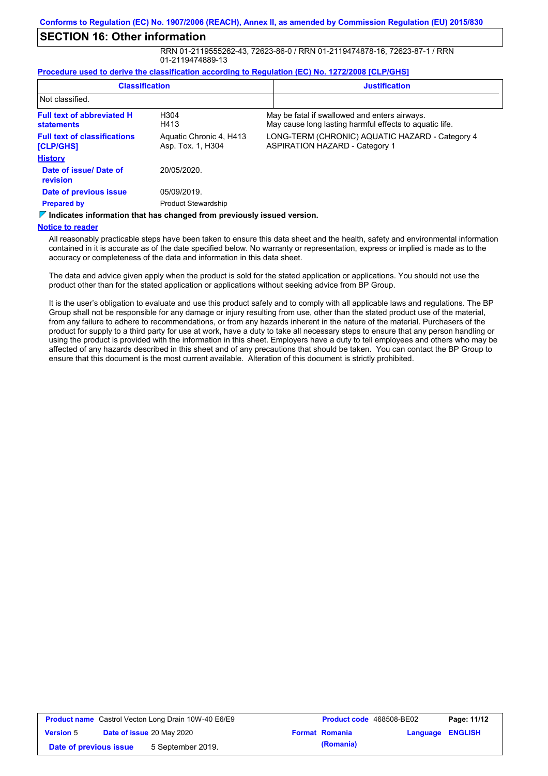## **SECTION 16: Other information**

RRN 01-2119555262-43, 72623-86-0 / RRN 01-2119474878-16, 72623-87-1 / RRN 01-2119474889-13

#### **Procedure used to derive the classification according to Regulation (EC) No. 1272/2008 [CLP/GHS]**

| <b>Classification</b><br>Not classified.               |                                                                                        | <b>Justification</b>                                                                                     |
|--------------------------------------------------------|----------------------------------------------------------------------------------------|----------------------------------------------------------------------------------------------------------|
|                                                        |                                                                                        |                                                                                                          |
| <b>Full text of abbreviated H</b><br><b>statements</b> | H <sub>304</sub><br>H413                                                               | May be fatal if swallowed and enters airways.<br>May cause long lasting harmful effects to aquatic life. |
| <b>Full text of classifications</b><br>[CLP/GHS]       | Aquatic Chronic 4, H413<br>Asp. Tox. 1, H304                                           | LONG-TERM (CHRONIC) AQUATIC HAZARD - Category 4<br><b>ASPIRATION HAZARD - Category 1</b>                 |
| <b>History</b>                                         |                                                                                        |                                                                                                          |
| Date of issue/Date of<br>revision                      | 20/05/2020.                                                                            |                                                                                                          |
| Date of previous issue                                 | 05/09/2019.                                                                            |                                                                                                          |
| <b>Prepared by</b>                                     | <b>Product Stewardship</b>                                                             |                                                                                                          |
|                                                        | $\triangledown$ Indicates information that has changed from previously issued version. |                                                                                                          |

#### **Notice to reader**

All reasonably practicable steps have been taken to ensure this data sheet and the health, safety and environmental information contained in it is accurate as of the date specified below. No warranty or representation, express or implied is made as to the accuracy or completeness of the data and information in this data sheet.

The data and advice given apply when the product is sold for the stated application or applications. You should not use the product other than for the stated application or applications without seeking advice from BP Group.

It is the user's obligation to evaluate and use this product safely and to comply with all applicable laws and regulations. The BP Group shall not be responsible for any damage or injury resulting from use, other than the stated product use of the material, from any failure to adhere to recommendations, or from any hazards inherent in the nature of the material. Purchasers of the product for supply to a third party for use at work, have a duty to take all necessary steps to ensure that any person handling or using the product is provided with the information in this sheet. Employers have a duty to tell employees and others who may be affected of any hazards described in this sheet and of any precautions that should be taken. You can contact the BP Group to ensure that this document is the most current available. Alteration of this document is strictly prohibited.

| <b>Product name</b> Castrol Vecton Long Drain 10W-40 E6/E9 |                           | Product code 468508-BE02 |  | Page: 11/12           |                         |  |
|------------------------------------------------------------|---------------------------|--------------------------|--|-----------------------|-------------------------|--|
| <b>Version 5</b>                                           | Date of issue 20 May 2020 |                          |  | <b>Format Romania</b> | <b>Language ENGLISH</b> |  |
| Date of previous issue                                     |                           | 5 September 2019.        |  | (Romania)             |                         |  |